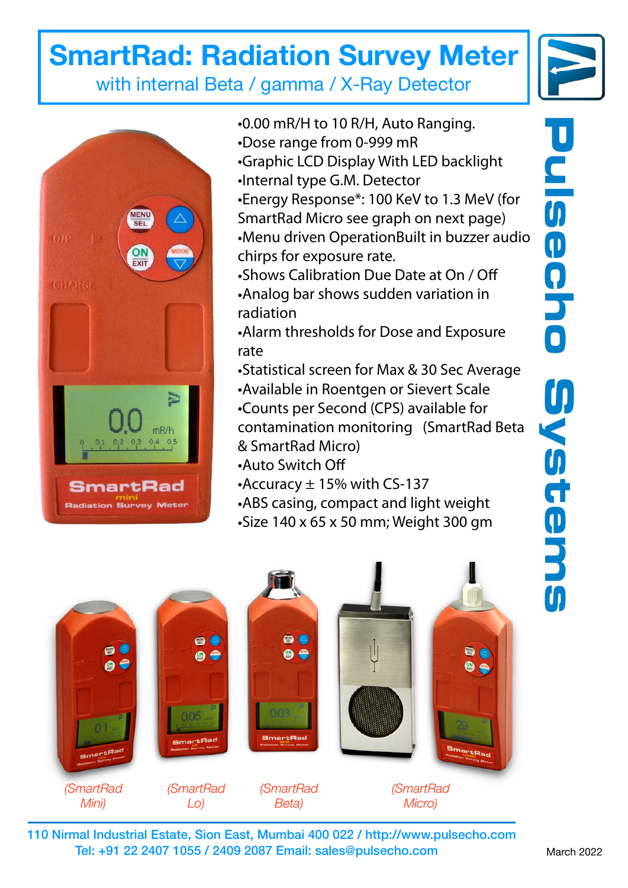## **SmartRad: Radiation Survey Meter**







*(SmartRad Mini)*

 $\bullet$ Ø)

- •0.00 mR/H to 10 R/H, Auto Ranging.
- •Dose range from 0-999 mR
- •Graphic LCD Display With LED backlight
- •Internal type G.M. Detector
- •Energy Response\*: 100 KeV to 1.3 MeV (for SmartRad Micro see graph on next page) •Menu driven OperationBuilt in buzzer audio chirps for exposure rate.
- •Shows Calibration Due Date at On / Off
- •Analog bar shows sudden variation in radiation
- •Alarm thresholds for Dose and Exposure rate
- •Statistical screen for Max & 30 Sec Average
- •Available in Roentgen or Sievert Scale •Counts per Second (CPS) available for
- contamination monitoring (SmartRad Beta & SmartRad Micro)
- •Auto Switch Off

86

 $\bullet$ 

20

e e

- •Accuracy  $\pm$  15% with CS-137
- •ABS casing, compact and light weight
- •Size 140 x 65 x 50 mm; Weight 300 gm

110 Nirmal Industrial Estate, Sion East, Mumbai 400 022 /<http://www.pulsecho.com> *(SmartRad Lo) (SmartRad Beta) (SmartRad Micro)*

Tel: +91 22 2407 1055 / 2409 2087 Email: [sales@pulsecho.com](mailto:sales@pulsecho.com)

**Pulsecho Systems** DUISCRIO Bystems

March 2022

80